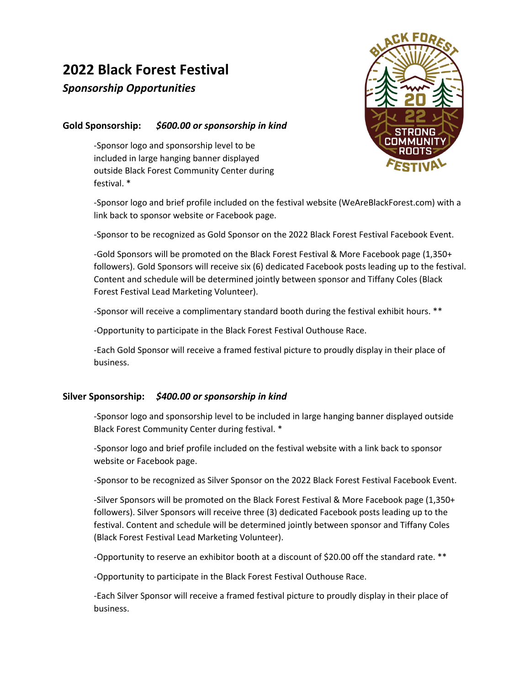# **2022 Black Forest Festival**

# *Sponsorship Opportunities*

## **Gold Sponsorship:** *\$600.00 or sponsorship in kind*

-Sponsor logo and sponsorship level to be included in large hanging banner displayed outside Black Forest Community Center during festival. \*



-Sponsor logo and brief profile included on the festival website (WeAreBlackForest.com) with a link back to sponsor website or Facebook page.

-Sponsor to be recognized as Gold Sponsor on the 2022 Black Forest Festival Facebook Event.

-Gold Sponsors will be promoted on the Black Forest Festival & More Facebook page (1,350+ followers). Gold Sponsors will receive six (6) dedicated Facebook posts leading up to the festival. Content and schedule will be determined jointly between sponsor and Tiffany Coles (Black Forest Festival Lead Marketing Volunteer).

-Sponsor will receive a complimentary standard booth during the festival exhibit hours. \*\*

-Opportunity to participate in the Black Forest Festival Outhouse Race.

-Each Gold Sponsor will receive a framed festival picture to proudly display in their place of business.

### **Silver Sponsorship:** *\$400.00 or sponsorship in kind*

-Sponsor logo and sponsorship level to be included in large hanging banner displayed outside Black Forest Community Center during festival. \*

-Sponsor logo and brief profile included on the festival website with a link back to sponsor website or Facebook page.

-Sponsor to be recognized as Silver Sponsor on the 2022 Black Forest Festival Facebook Event.

-Silver Sponsors will be promoted on the Black Forest Festival & More Facebook page (1,350+ followers). Silver Sponsors will receive three (3) dedicated Facebook posts leading up to the festival. Content and schedule will be determined jointly between sponsor and Tiffany Coles (Black Forest Festival Lead Marketing Volunteer).

-Opportunity to reserve an exhibitor booth at a discount of \$20.00 off the standard rate. \*\*

-Opportunity to participate in the Black Forest Festival Outhouse Race.

-Each Silver Sponsor will receive a framed festival picture to proudly display in their place of business.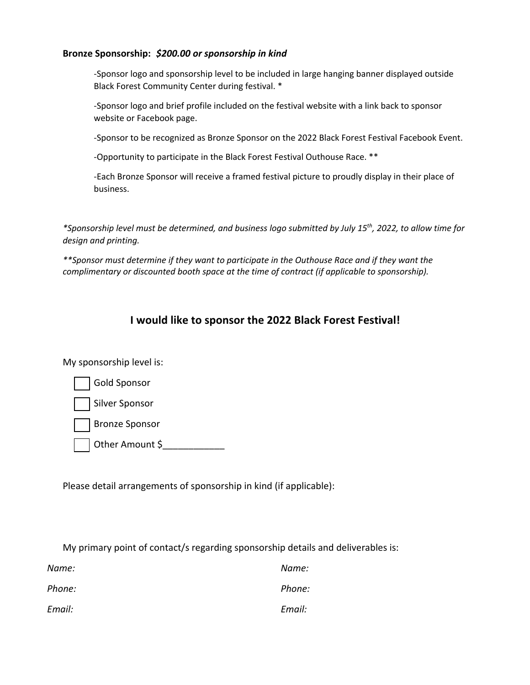#### **Bronze Sponsorship:** *\$200.00 or sponsorship in kind*

-Sponsor logo and sponsorship level to be included in large hanging banner displayed outside Black Forest Community Center during festival. \*

-Sponsor logo and brief profile included on the festival website with a link back to sponsor website or Facebook page.

-Sponsor to be recognized as Bronze Sponsor on the 2022 Black Forest Festival Facebook Event.

-Opportunity to participate in the Black Forest Festival Outhouse Race. \*\*

-Each Bronze Sponsor will receive a framed festival picture to proudly display in their place of business.

*\*Sponsorship level must be determined, and business logo submitted by July 15th, 2022, to allow time for design and printing.*

*\*\*Sponsor must determine if they want to participate in the Outhouse Race and if they want the complimentary or discounted booth space at the time of contract (if applicable to sponsorship).*

# **I would like to sponsor the 2022 Black Forest Festival!**

My sponsorship level is:

| Gold Sponsor   |
|----------------|
| Silver Sponsor |
| Bronze Sponsor |

Other Amount \$\_\_\_\_\_\_\_\_\_\_\_\_\_\_

Please detail arrangements of sponsorship in kind (if applicable):

My primary point of contact/s regarding sponsorship details and deliverables is:

| Name:  | Name:  |
|--------|--------|
| Phone: | Phone: |
| Email: | Email: |